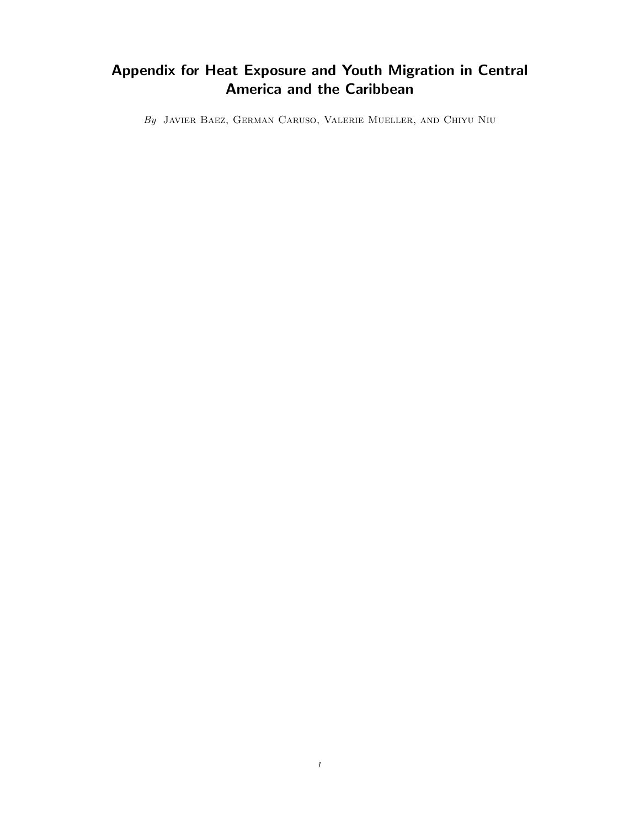## Appendix for Heat Exposure and Youth Migration in Central America and the Caribbean

By Javier Baez, German Caruso, Valerie Mueller, and Chiyu Niu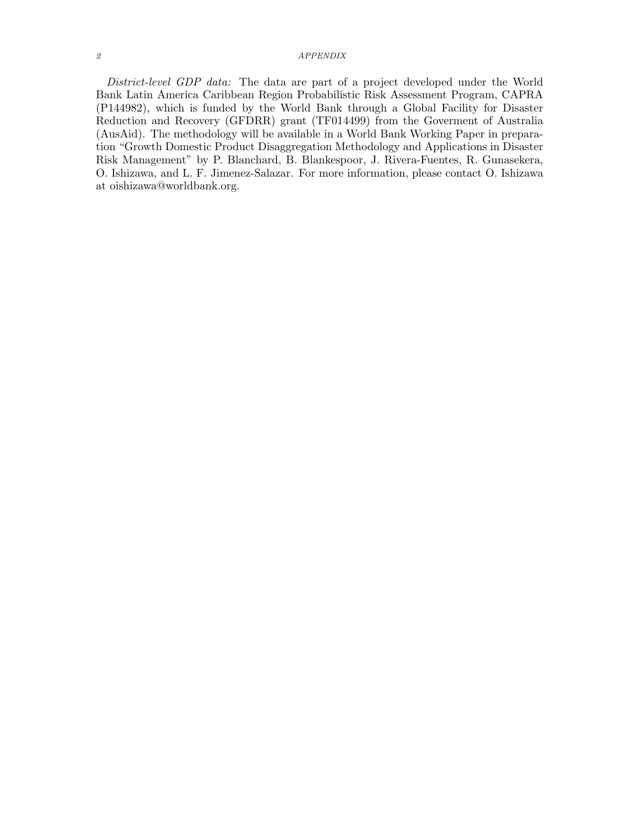## 2 APPENDIX

District-level GDP data: The data are part of a project developed under the World Bank Latin America Caribbean Region Probabilistic Risk Assessment Program, CAPRA (P144982), which is funded by the World Bank through a Global Facility for Disaster Reduction and Recovery (GFDRR) grant (TF014499) from the Goverment of Australia (AusAid). The methodology will be available in a World Bank Working Paper in preparation "Growth Domestic Product Disaggregation Methodology and Applications in Disaster Risk Management" by P. Blanchard, B. Blankespoor, J. Rivera-Fuentes, R. Gunasekera, O. Ishizawa, and L. F. Jimenez-Salazar. For more information, please contact O. Ishizawa at oishizawa@worldbank.org.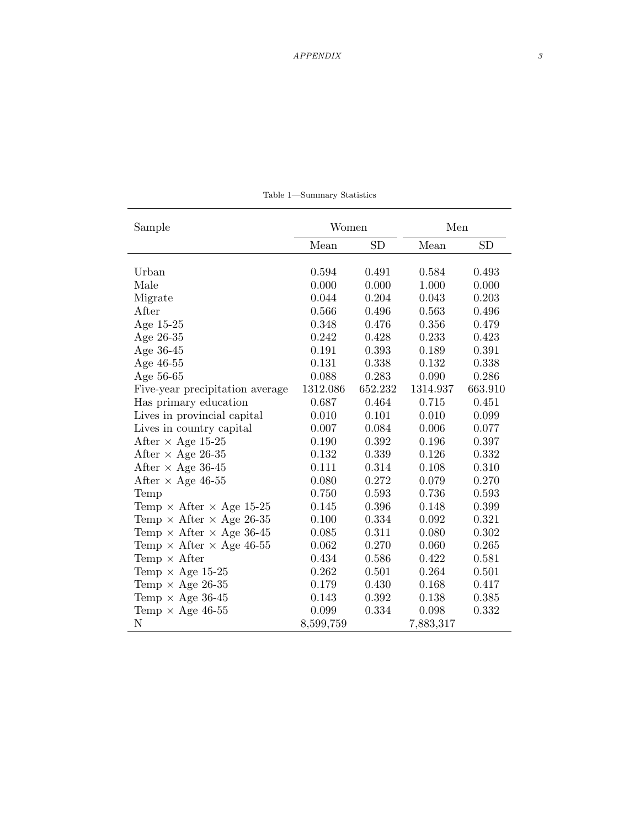| Sample                                 | Women     |           | Men       |         |  |
|----------------------------------------|-----------|-----------|-----------|---------|--|
|                                        | Mean      | <b>SD</b> | Mean      | SD      |  |
| Urban                                  | 0.594     | 0.491     | 0.584     | 0.493   |  |
| Male                                   | 0.000     | 0.000     | 1.000     | 0.000   |  |
| Migrate                                | 0.044     | 0.204     | 0.043     | 0.203   |  |
| After                                  | 0.566     | 0.496     | 0.563     | 0.496   |  |
| Age $15-25$                            | 0.348     | 0.476     | 0.356     | 0.479   |  |
| Age 26-35                              | 0.242     | 0.428     | 0.233     | 0.423   |  |
| Age 36-45                              | 0.191     | 0.393     | 0.189     | 0.391   |  |
| Age 46-55                              | 0.131     | 0.338     | 0.132     | 0.338   |  |
| Age 56-65                              | 0.088     | 0.283     | 0.090     | 0.286   |  |
| Five-year precipitation average        | 1312.086  | 652.232   | 1314.937  | 663.910 |  |
| Has primary education                  | 0.687     | 0.464     | 0.715     | 0.451   |  |
| Lives in provincial capital            | 0.010     | 0.101     | 0.010     | 0.099   |  |
| Lives in country capital               | 0.007     | 0.084     | 0.006     | 0.077   |  |
| After $\times$ Age 15-25               | 0.190     | 0.392     | 0.196     | 0.397   |  |
| After $\times$ Age 26-35               | 0.132     | 0.339     | 0.126     | 0.332   |  |
| After $\times$ Age 36-45               | 0.111     | 0.314     | 0.108     | 0.310   |  |
| After $\times$ Age 46-55               | 0.080     | 0.272     | 0.079     | 0.270   |  |
| Temp                                   | 0.750     | 0.593     | 0.736     | 0.593   |  |
| Temp $\times$ After $\times$ Age 15-25 | 0.145     | 0.396     | 0.148     | 0.399   |  |
| Temp $\times$ After $\times$ Age 26-35 | 0.100     | 0.334     | 0.092     | 0.321   |  |
| Temp $\times$ After $\times$ Age 36-45 | 0.085     | 0.311     | 0.080     | 0.302   |  |
| Temp $\times$ After $\times$ Age 46-55 | 0.062     | 0.270     | 0.060     | 0.265   |  |
| Temp $\times$ After                    | 0.434     | 0.586     | 0.422     | 0.581   |  |
| Temp $\times$ Age 15-25                | 0.262     | 0.501     | 0.264     | 0.501   |  |
| Temp $\times$ Age 26-35                | 0.179     | 0.430     | $0.168\,$ | 0.417   |  |
| Temp $\times$ Age 36-45                | 0.143     | 0.392     | 0.138     | 0.385   |  |
| Temp $\times$ Age 46-55                | 0.099     | 0.334     | 0.098     | 0.332   |  |
| $\mathbf N$                            | 8,599,759 |           | 7,883,317 |         |  |

Table 1—Summary Statistics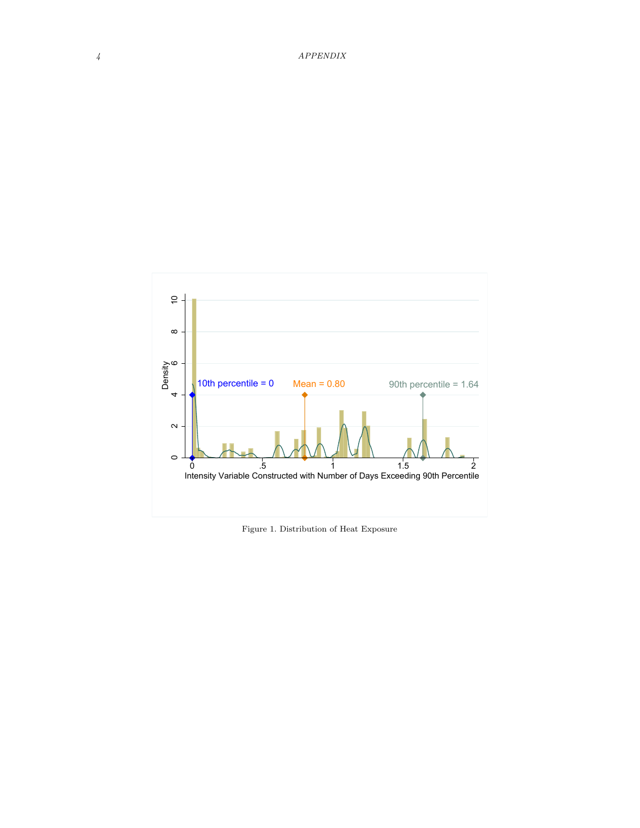

Figure 1. Distribution of Heat Exposure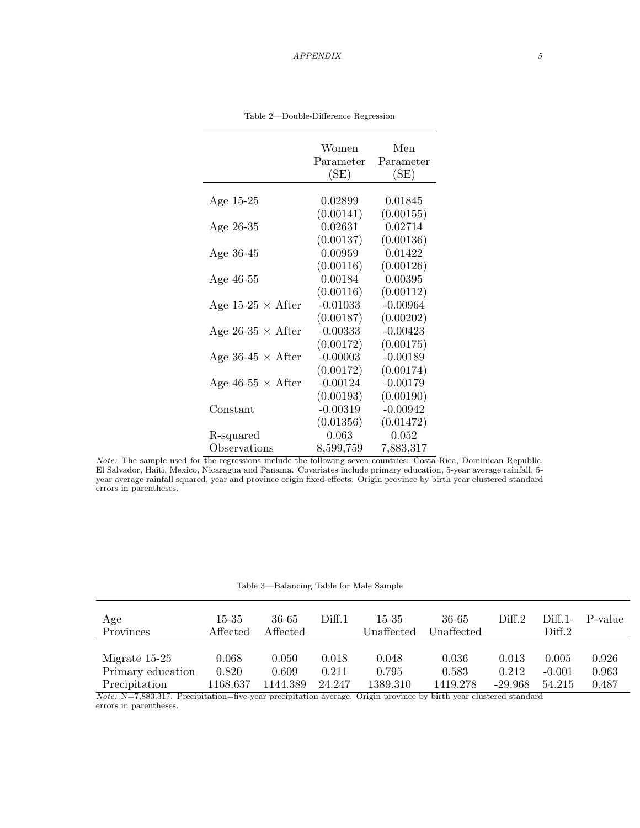|                          | Women      | Men        |
|--------------------------|------------|------------|
|                          | Parameter  | Parameter  |
|                          | (SE)       | (SE)       |
|                          |            |            |
| Age 15-25                | 0.02899    | 0.01845    |
|                          | (0.00141)  | (0.00155)  |
| Age 26-35                | 0.02631    | 0.02714    |
|                          | (0.00137)  | (0.00136)  |
| Age 36-45                | 0.00959    | 0.01422    |
|                          | (0.00116)  | (0.00126)  |
| Age 46-55                | 0.00184    | 0.00395    |
|                          | (0.00116)  | (0.00112)  |
| Age 15-25 $\times$ After | $-0.01033$ | $-0.00964$ |
|                          | (0.00187)  | (0.00202)  |
| Age 26-35 $\times$ After | $-0.00333$ | $-0.00423$ |
|                          | (0.00172)  | (0.00175)  |
| Age 36-45 $\times$ After | $-0.00003$ | $-0.00189$ |
|                          | (0.00172)  | (0.00174)  |
| Age 46-55 $\times$ After | $-0.00124$ | $-0.00179$ |
|                          | (0.00193)  | (0.00190)  |
| Constant                 | $-0.00319$ | $-0.00942$ |
|                          | (0.01356)  | (0.01472)  |
| R-squared                | 0.063      | 0.052      |
| Observations             | 8,599,759  | 7,883,317  |

Table 2—Double-Difference Regression

Note: The sample used for the regressions include the following seven countries: Costa Rica, Dominican Republic, El Salvador, Haiti, Mexico, Nicaragua and Panama. Covariates include primary education, 5-year average rainfall, 5 year average rainfall squared, year and province origin fixed-effects. Origin province by birth year clustered standard errors in parentheses.

Table 3—Balancing Table for Male Sample

| Age<br>Provinces  | 15-35<br>Affected | 36-65<br>Affected | Diff.1 | 15-35<br>Unaffected | 36-65<br>Unaffected | $\rm{Diff.2}$ | $Diff.1-$<br>Diff.2 | P-value |
|-------------------|-------------------|-------------------|--------|---------------------|---------------------|---------------|---------------------|---------|
| Migrate 15-25     | 0.068             | 0.050             | 0.018  | 0.048               | 0.036               | 0.013         | 0.005               | 0.926   |
| Primary education | 0.820             | 0.609             | 0.211  | 0.795               | 0.583               | 0.212         | $-0.001$            | 0.963   |
| Precipitation     | 1168.637          | 1144.389          | 24.247 | 1389.310            | 1419.278            | $-29.968$     | 54.215              | 0.487   |

Note: N=7,883,317. Precipitation=five-year precipitation average. Origin province by birth year clustered standard errors in parentheses.